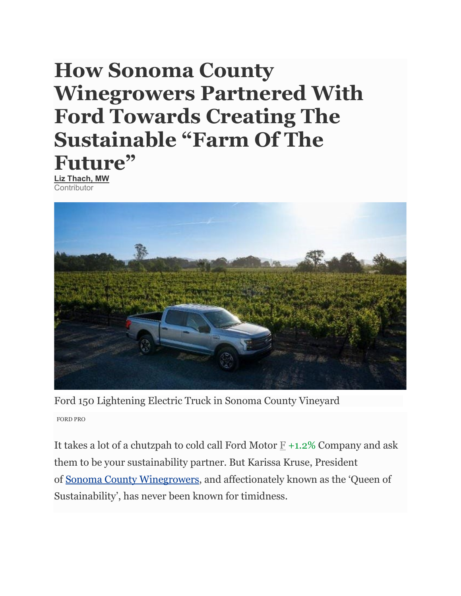## **How Sonoma County Winegrowers Partnered With Ford Towards Creating The Sustainable "Farm Of The Future"**

**[Liz Thach, MW](https://www.forbes.com/sites/lizthach/) Contributor** 



Ford 150 Lightening Electric Truck in Sonoma County Vineyard FORD PRO

It takes a lot of a chutzpah to cold call Ford Motor [F](https://www.forbes.com/companies/ford-motor) [+1.2%](https://www.forbes.com/companies/ford-motor) Company and ask them to be your sustainability partner. But Karissa Kruse, President of [Sonoma County Winegrowers,](https://sonomawinegrape.org/) and affectionately known as the 'Queen of Sustainability', has never been known for timidness.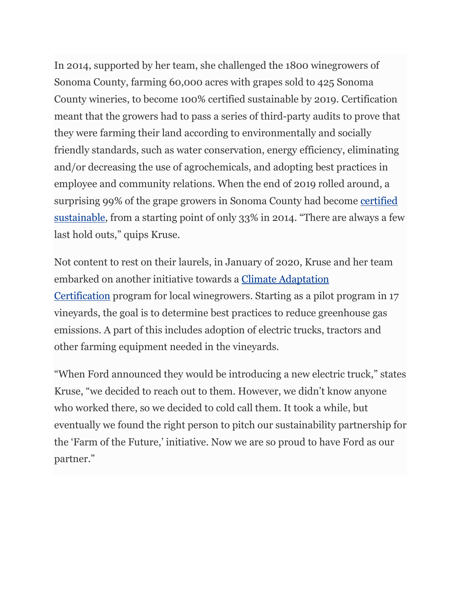In 2014, supported by her team, she challenged the 1800 winegrowers of Sonoma County, farming 60,000 acres with grapes sold to 425 Sonoma County wineries, to become 100% certified sustainable by 2019. Certification meant that the growers had to pass a series of third-party audits to prove that they were farming their land according to environmentally and socially friendly standards, such as water conservation, energy efficiency, eliminating and/or decreasing the use of agrochemicals, and adopting best practices in employee and community relations. When the end of 2019 rolled around, a surprising 99% of the grape growers in Sonoma County had become [certified](https://sonomawinegrape.org/sustainability/#grower-sustainability-program)  [sustainable,](https://sonomawinegrape.org/sustainability/#grower-sustainability-program) from a starting point of only 33% in 2014. "There are always a few last hold outs," quips Kruse.

Not content to rest on their laurels, in January of 2020, Kruse and her team embarked on another initiative towards a [Climate Adaptation](https://sonomawinegrape.org/scw/sustainability/#scw-sustainability-vineyards)  [Certification](https://sonomawinegrape.org/scw/sustainability/#scw-sustainability-vineyards) program for local winegrowers. Starting as a pilot program in 17 vineyards, the goal is to determine best practices to reduce greenhouse gas emissions. A part of this includes adoption of electric trucks, tractors and other farming equipment needed in the vineyards.

"When Ford announced they would be introducing a new electric truck," states Kruse, "we decided to reach out to them. However, we didn't know anyone who worked there, so we decided to cold call them. It took a while, but eventually we found the right person to pitch our sustainability partnership for the 'Farm of the Future,' initiative. Now we are so proud to have Ford as our partner."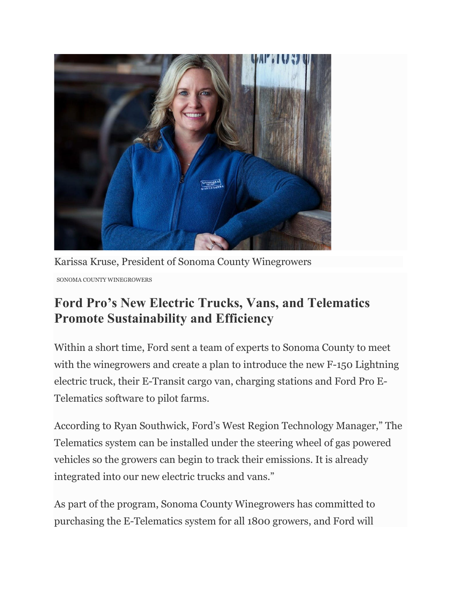

Karissa Kruse, President of Sonoma County Winegrowers SONOMA COUNTY WINEGROWERS

## **Ford Pro's New Electric Trucks, Vans, and Telematics Promote Sustainability and Efficiency**

Within a short time, Ford sent a team of experts to Sonoma County to meet with the winegrowers and create a plan to introduce the new F-150 Lightning electric truck, their E-Transit cargo van, charging stations and Ford Pro E-Telematics software to pilot farms.

According to Ryan Southwick, Ford's West Region Technology Manager," The Telematics system can be installed under the steering wheel of gas powered vehicles so the growers can begin to track their emissions. It is already integrated into our new electric trucks and vans."

As part of the program, Sonoma County Winegrowers has committed to purchasing the E-Telematics system for all 1800 growers, and Ford will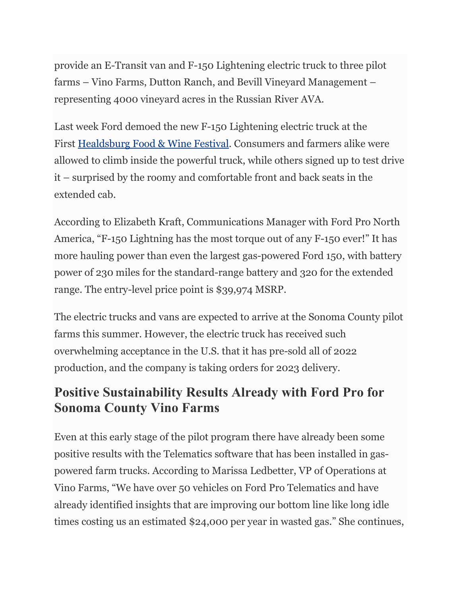provide an E-Transit van and F-150 Lightening electric truck to three pilot farms – Vino Farms, Dutton Ranch, and Bevill Vineyard Management – representing 4000 vineyard acres in the Russian River AVA.

Last week Ford demoed the new F-150 Lightening electric truck at the First [Healdsburg Food & Wine Festival.](https://www.healdsburgwineandfood.com/) Consumers and farmers alike were allowed to climb inside the powerful truck, while others signed up to test drive it – surprised by the roomy and comfortable front and back seats in the extended cab.

According to Elizabeth Kraft, Communications Manager with Ford Pro North America, "F-150 Lightning has the most torque out of any F-150 ever!" It has more hauling power than even the largest gas-powered Ford 150, with battery power of 230 miles for the standard-range battery and 320 for the extended range. The entry-level price point is \$39,974 MSRP.

The electric trucks and vans are expected to arrive at the Sonoma County pilot farms this summer. However, the electric truck has received such overwhelming acceptance in the U.S. that it has pre-sold all of 2022 production, and the company is taking orders for 2023 delivery.

## **Positive Sustainability Results Already with Ford Pro for Sonoma County Vino Farms**

Even at this early stage of the pilot program there have already been some positive results with the Telematics software that has been installed in gaspowered farm trucks. According to Marissa Ledbetter, VP of Operations at Vino Farms, "We have over 50 vehicles on Ford Pro Telematics and have already identified insights that are improving our bottom line like long idle times costing us an estimated \$24,000 per year in wasted gas." She continues,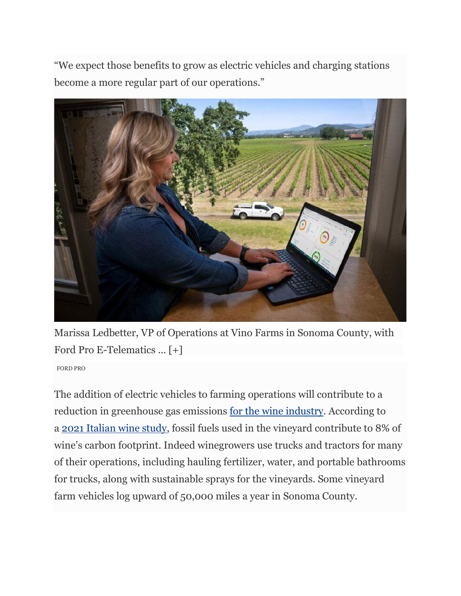"We expect those benefits to grow as electric vehicles and charging stations become a more regular part of our operations."



Marissa Ledbetter, VP of Operations at Vino Farms in Sonoma County, with Ford Pro E-Telematics ... [+]

FORD PRO

The addition of electric vehicles to farming operations will contribute to a reduction in greenhouse gas emissions [for the wine industry.](https://www.forbes.com/sites/lizthach/2021/09/08/how-napa-and-sonoma-vineyards-are-going-beyond-sustainability-to-embrace-climate-positive-goals/?sh=6e0716fa7652) According to a [2021 Italian wine study,](https://www.sciencedirect.com/science/article/abs/pii/S0048969721014844) fossil fuels used in the vineyard contribute to 8% of wine's carbon footprint. Indeed winegrowers use trucks and tractors for many of their operations, including hauling fertilizer, water, and portable bathrooms for trucks, along with sustainable sprays for the vineyards. Some vineyard farm vehicles log upward of 50,000 miles a year in Sonoma County.